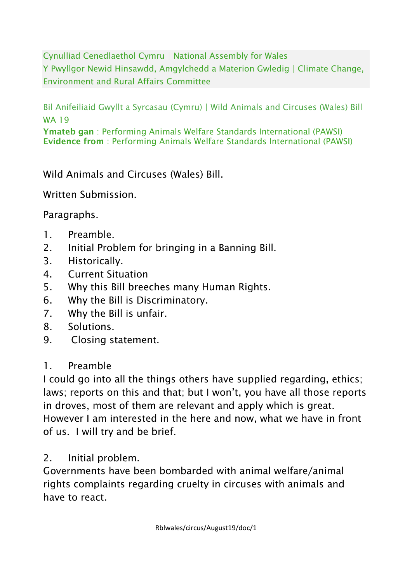Cynulliad Cenedlaethol Cymru | National Assembly for Wales Y Pwyllgor Newid Hinsawdd, Amgylchedd a Materion Gwledig | Climate Change, Environment and Rural Affairs Committee

Bil Anifeiliaid Gwyllt a Syrcasau (Cymru) | Wild Animals and Circuses (Wales) Bill WA 19

Ymateb gan : Performing Animals Welfare Standards International (PAWSI) Evidence from : Performing Animals Welfare Standards International (PAWSI)

Wild Animals and Circuses (Wales) Bill.

Written Submission.

Paragraphs.

- 1. Preamble.
- 2. Initial Problem for bringing in a Banning Bill.
- 3. Historically.
- 4. Current Situation
- 5. Why this Bill breeches many Human Rights.
- 6. Why the Bill is Discriminatory.
- 7. Why the Bill is unfair.
- 8. Solutions.
- 9. Closing statement.

# 1. Preamble

I could go into all the things others have supplied regarding, ethics; laws; reports on this and that; but I won't, you have all those reports in droves, most of them are relevant and apply which is great. However I am interested in the here and now, what we have in front of us. I will try and be brief.

# 2. Initial problem.

Governments have been bombarded with animal welfare/animal rights complaints regarding cruelty in circuses with animals and have to react.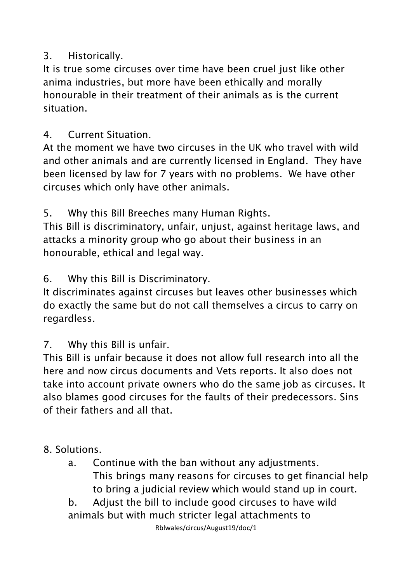#### 3. Historically.

It is true some circuses over time have been cruel just like other anima industries, but more have been ethically and morally honourable in their treatment of their animals as is the current situation.

# 4. Current Situation.

At the moment we have two circuses in the UK who travel with wild and other animals and are currently licensed in England. They have been licensed by law for 7 years with no problems. We have other circuses which only have other animals.

5. Why this Bill Breeches many Human Rights.

This Bill is discriminatory, unfair, unjust, against heritage laws, and attacks a minority group who go about their business in an honourable, ethical and legal way.

# 6. Why this Bill is Discriminatory.

It discriminates against circuses but leaves other businesses which do exactly the same but do not call themselves a circus to carry on regardless.

7. Why this Bill is unfair.

This Bill is unfair because it does not allow full research into all the here and now circus documents and Vets reports. It also does not take into account private owners who do the same job as circuses. It also blames good circuses for the faults of their predecessors. Sins of their fathers and all that.

# 8. Solutions.

a. Continue with the ban without any adjustments. This brings many reasons for circuses to get financial help to bring a judicial review which would stand up in court.

b. Adjust the bill to include good circuses to have wild animals but with much stricter legal attachments to